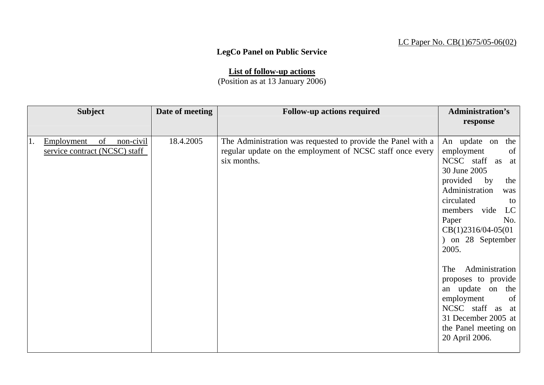## LC Paper No. CB(1)675/05-06(02)

## **LegCo Panel on Public Service**

**List of follow-up actions** (Position as at 13 January 2006)

| <b>Subject</b> |                                                  | Date of meeting | <b>Follow-up actions required</b>                                                                                                        | <b>Administration's</b><br>response                                                                                                                                                                                                                                                                                                                                                                                                              |
|----------------|--------------------------------------------------|-----------------|------------------------------------------------------------------------------------------------------------------------------------------|--------------------------------------------------------------------------------------------------------------------------------------------------------------------------------------------------------------------------------------------------------------------------------------------------------------------------------------------------------------------------------------------------------------------------------------------------|
|                |                                                  |                 |                                                                                                                                          |                                                                                                                                                                                                                                                                                                                                                                                                                                                  |
| Employment     | non-civil<br>of<br>service contract (NCSC) staff | 18.4.2005       | The Administration was requested to provide the Panel with a<br>regular update on the employment of NCSC staff once every<br>six months. | An update on<br>the<br>of<br>employment<br>NCSC staff<br>as<br>at<br>30 June 2005<br>provided<br>by<br>the<br>Administration<br>was<br>circulated<br>to<br>members vide<br>LC<br>Paper<br>No.<br>$CB(1)2316/04-05(01)$<br>on 28 September<br>$\mathcal{L}$<br>2005.<br>Administration<br>The<br>proposes to provide<br>an update on the<br>of<br>employment<br>NCSC staff as at<br>31 December 2005 at<br>the Panel meeting on<br>20 April 2006. |